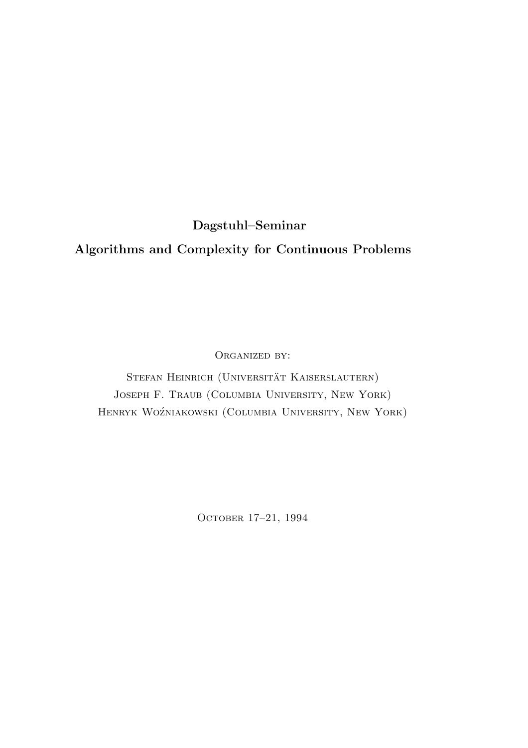Dagstuhl–Seminar

# Algorithms and Complexity for Continuous Problems

ORGANIZED BY:

STEFAN HEINRICH (UNIVERSITÄT KAISERSLAUTERN) Joseph F. Traub (Columbia University, New York) HENRYK WOŹNIAKOWSKI (COLUMBIA UNIVERSITY, NEW YORK)

OCTOBER 17-21, 1994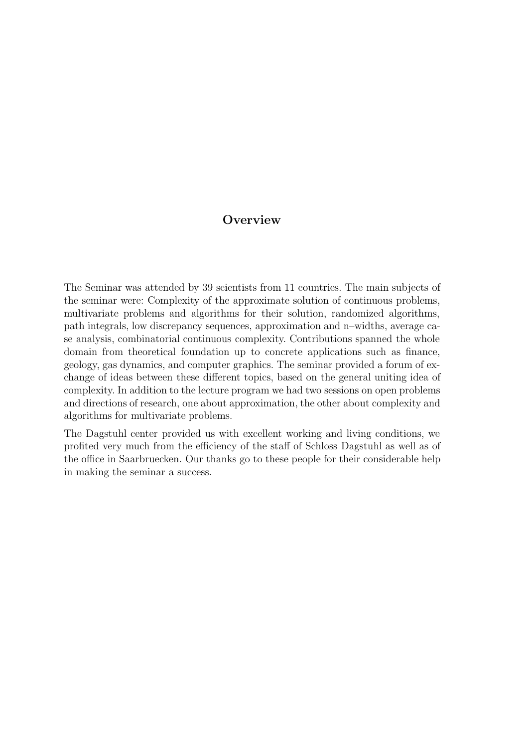# **Overview**

The Seminar was attended by 39 scientists from 11 countries. The main subjects of the seminar were: Complexity of the approximate solution of continuous problems, multivariate problems and algorithms for their solution, randomized algorithms, path integrals, low discrepancy sequences, approximation and n–widths, average case analysis, combinatorial continuous complexity. Contributions spanned the whole domain from theoretical foundation up to concrete applications such as finance, geology, gas dynamics, and computer graphics. The seminar provided a forum of exchange of ideas between these different topics, based on the general uniting idea of complexity. In addition to the lecture program we had two sessions on open problems and directions of research, one about approximation, the other about complexity and algorithms for multivariate problems.

The Dagstuhl center provided us with excellent working and living conditions, we profited very much from the efficiency of the staff of Schloss Dagstuhl as well as of the office in Saarbruecken. Our thanks go to these people for their considerable help in making the seminar a success.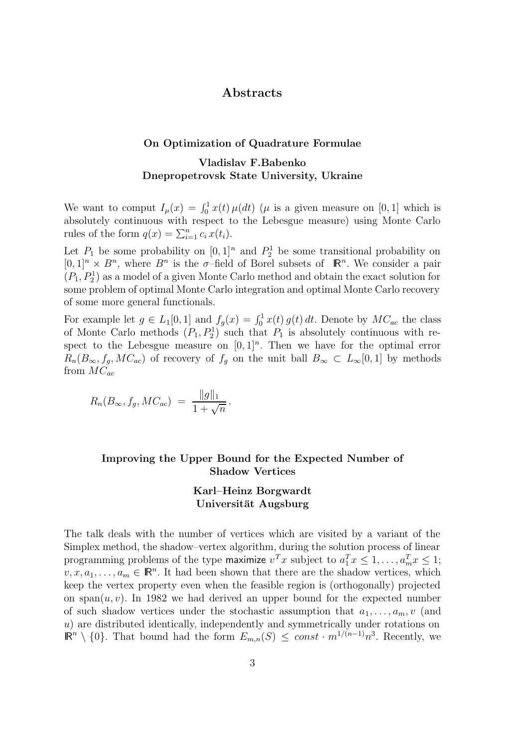# Abstracts

### On Optimization of Quadrature Formulae

# Vladislav F.Babenko Dnepropetrovsk State University, Ukraine

We want to comput  $I_{\mu}(x) = \int_0^1 x(t) \mu(dt)$  ( $\mu$  is a given measure on [0, 1] which is absolutely continuous with respect to the Lebesgue measure) using Monte Carlo rules of the form  $q(x) = \sum_{i=1}^{n} c_i x(t_i)$ .

Let  $P_1$  be some probability on  $[0,1]^n$  and  $P_2^1$  be some transitional probability on  $[0,1]^n \times B^n$ , where  $B^n$  is the  $\sigma$ -field of Borel subsets of  $\mathbb{R}^n$ . We consider a pair  $(P_1, P_2^1)$  as a model of a given Monte Carlo method and obtain the exact solution for some problem of optimal Monte Carlo integration and optimal Monte Carlo recovery of some more general functionals.

For example let  $g \in L_1[0,1]$  and  $f_g(x) = \int_0^1 x(t) g(t) dt$ . Denote by  $MC_{ac}$  the class of Monte Carlo methods  $(P_1, P_2^1)$  such that  $P_1$  is absolutely continuous with respect to the Lebesgue measure on  $[0,1]^n$ . Then we have for the optimal error  $R_n(B_{\infty}, f_g, MC_{ac})$  of recovery of  $f_g$  on the unit ball  $B_{\infty} \subset L_{\infty}[0,1]$  by methods from  $MC_{ac}$ 

$$
R_n(B_{\infty}, f_g, MC_{ac}) = \frac{\|g\|_1}{1 + \sqrt{n}}.
$$

### Improving the Upper Bound for the Expected Number of Shadow Vertices

### Karl–Heinz Borgwardt Universität Augsburg

The talk deals with the number of vertices which are visited by a variant of the Simplex method, the shadow–vertex algorithm, during the solution process of linear programming problems of the type maximize  $v^T x$  subject to  $a_1^T x \leq 1, \ldots, a_m^T x \leq 1$ ;  $v, x, a_1, \ldots, a_m \in \mathbb{R}^n$ . It had been shown that there are the shadow vertices, which keep the vertex property even when the feasible region is (orthogonally) projected on span $(u, v)$ . In 1982 we had derived an upper bound for the expected number of such shadow vertices under the stochastic assumption that  $a_1, \ldots, a_m, v$  (and u) are distributed identically, independently and symmetrically under rotations on  $\mathbb{R}^n \setminus \{0\}$ . That bound had the form  $E_{m,n}(S) \leq const \cdot m^{1/(n-1)}n^3$ . Recently, we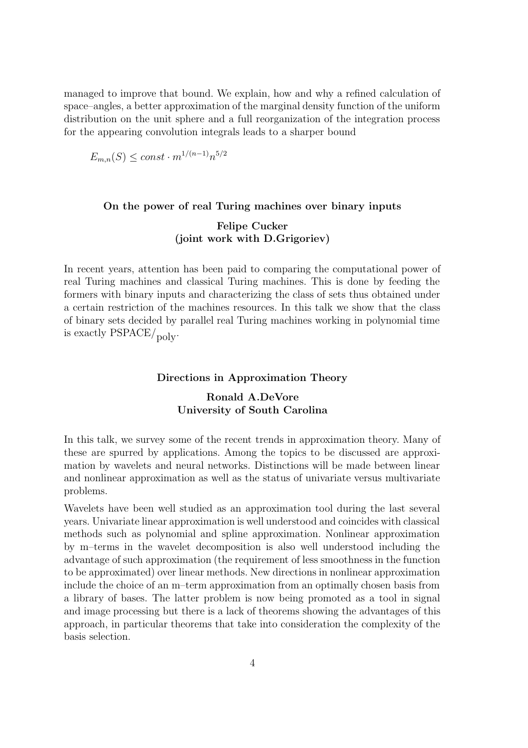managed to improve that bound. We explain, how and why a refined calculation of space–angles, a better approximation of the marginal density function of the uniform distribution on the unit sphere and a full reorganization of the integration process for the appearing convolution integrals leads to a sharper bound

$$
E_{m,n}(S) \le const \cdot m^{1/(n-1)} n^{5/2}
$$

#### On the power of real Turing machines over binary inputs

### Felipe Cucker (joint work with D.Grigoriev)

In recent years, attention has been paid to comparing the computational power of real Turing machines and classical Turing machines. This is done by feeding the formers with binary inputs and characterizing the class of sets thus obtained under a certain restriction of the machines resources. In this talk we show that the class of binary sets decided by parallel real Turing machines working in polynomial time is exactly  $\text{PSPACE}/\text{poly}$ .

### Directions in Approximation Theory

## Ronald A.DeVore University of South Carolina

In this talk, we survey some of the recent trends in approximation theory. Many of these are spurred by applications. Among the topics to be discussed are approximation by wavelets and neural networks. Distinctions will be made between linear and nonlinear approximation as well as the status of univariate versus multivariate problems.

Wavelets have been well studied as an approximation tool during the last several years. Univariate linear approximation is well understood and coincides with classical methods such as polynomial and spline approximation. Nonlinear approximation by m–terms in the wavelet decomposition is also well understood including the advantage of such approximation (the requirement of less smoothness in the function to be approximated) over linear methods. New directions in nonlinear approximation include the choice of an m–term approximation from an optimally chosen basis from a library of bases. The latter problem is now being promoted as a tool in signal and image processing but there is a lack of theorems showing the advantages of this approach, in particular theorems that take into consideration the complexity of the basis selection.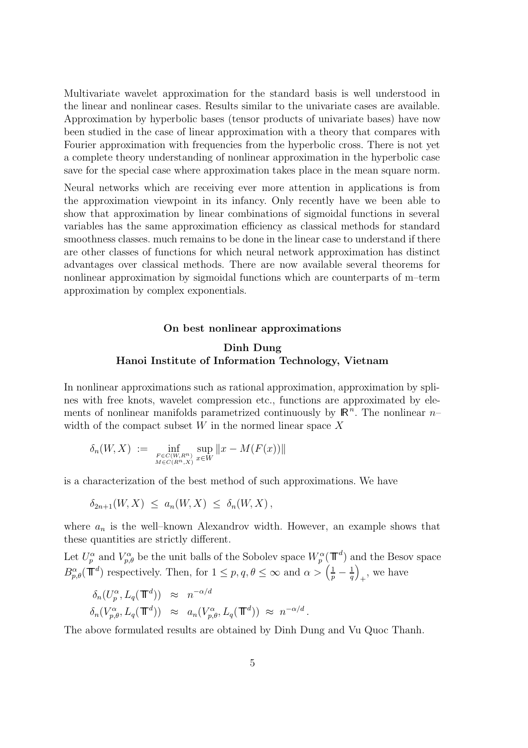Multivariate wavelet approximation for the standard basis is well understood in the linear and nonlinear cases. Results similar to the univariate cases are available. Approximation by hyperbolic bases (tensor products of univariate bases) have now been studied in the case of linear approximation with a theory that compares with Fourier approximation with frequencies from the hyperbolic cross. There is not yet a complete theory understanding of nonlinear approximation in the hyperbolic case save for the special case where approximation takes place in the mean square norm.

Neural networks which are receiving ever more attention in applications is from the approximation viewpoint in its infancy. Only recently have we been able to show that approximation by linear combinations of sigmoidal functions in several variables has the same approximation efficiency as classical methods for standard smoothness classes. much remains to be done in the linear case to understand if there are other classes of functions for which neural network approximation has distinct advantages over classical methods. There are now available several theorems for nonlinear approximation by sigmoidal functions which are counterparts of m–term approximation by complex exponentials.

#### On best nonlinear approximations

## Dinh Dung Hanoi Institute of Information Technology, Vietnam

In nonlinear approximations such as rational approximation, approximation by splines with free knots, wavelet compression etc., functions are approximated by elements of nonlinear manifolds parametrized continuously by  $\mathbb{R}^n$ . The nonlinear nwidth of the compact subset  $W$  in the normed linear space  $X$ 

$$
\delta_n(W, X) := \inf_{\substack{F \in C(W, R^n) \\ M \in C(R^n, X)}} \sup_{x \in W} ||x - M(F(x))||
$$

is a characterization of the best method of such approximations. We have

$$
\delta_{2n+1}(W,X) \leq a_n(W,X) \leq \delta_n(W,X),
$$

where  $a_n$  is the well–known Alexandrov width. However, an example shows that these quantities are strictly different.

Let  $U_p^{\alpha}$  and  $V_{p,\theta}^{\alpha}$  be the unit balls of the Sobolev space  $W_p^{\alpha}(\mathbb{T}^d)$  and the Besov space  $B^{\alpha}_{p,\theta}(\mathbf{T}^d)$  respectively. Then, for  $1 \leq p, q, \theta \leq \infty$  and  $\alpha > \left(\frac{1}{p} - \frac{1}{q}\right)$ q  $\setminus$ + , we have

$$
\delta_n(U_p^{\alpha}, L_q(\mathbb{T}^d)) \approx n^{-\alpha/d}
$$
  

$$
\delta_n(V_{p,\theta}^{\alpha}, L_q(\mathbb{T}^d)) \approx a_n(V_{p,\theta}^{\alpha}, L_q(\mathbb{T}^d)) \approx n^{-\alpha/d}.
$$

The above formulated results are obtained by Dinh Dung and Vu Quoc Thanh.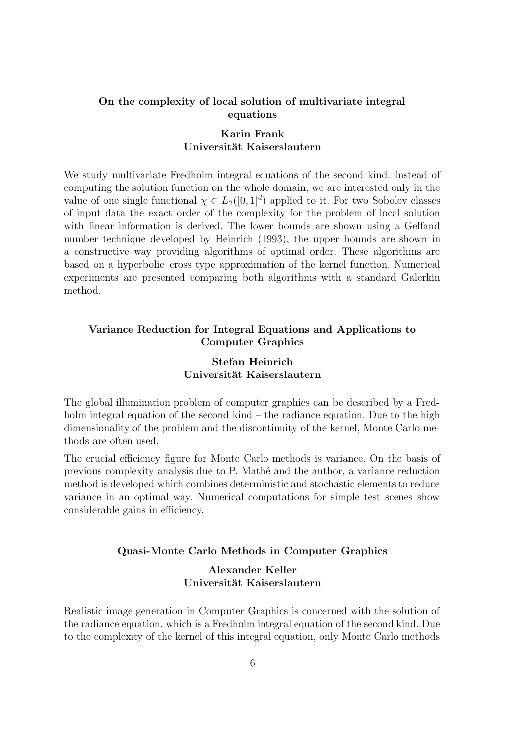### On the complexity of local solution of multivariate integral equations

### Karin Frank Universität Kaiserslautern

We study multivariate Fredholm integral equations of the second kind. Instead of computing the solution function on the whole domain, we are interested only in the value of one single functional  $\chi \in L_2([0,1]^d)$  applied to it. For two Sobolev classes of input data the exact order of the complexity for the problem of local solution with linear information is derived. The lower bounds are shown using a Gelfand number technique developed by Heinrich (1993), the upper bounds are shown in a constructive way providing algorithms of optimal order. These algorithms are based on a hyperbolic–cross type approximation of the kernel function. Numerical experiments are presented comparing both algorithms with a standard Galerkin method.

## Variance Reduction for Integral Equations and Applications to Computer Graphics

# Stefan Heinrich Universität Kaiserslautern

The global illumination problem of computer graphics can be described by a Fredholm integral equation of the second kind – the radiance equation. Due to the high dimensionality of the problem and the discontinuity of the kernel, Monte Carlo methods are often used.

The crucial efficiency figure for Monte Carlo methods is variance. On the basis of previous complexity analysis due to P. Math´e and the author, a variance reduction method is developed which combines deterministic and stochastic elements to reduce variance in an optimal way. Numerical computations for simple test scenes show considerable gains in efficiency.

#### Quasi-Monte Carlo Methods in Computer Graphics

# Alexander Keller Universität Kaiserslautern

Realistic image generation in Computer Graphics is concerned with the solution of the radiance equation, which is a Fredholm integral equation of the second kind. Due to the complexity of the kernel of this integral equation, only Monte Carlo methods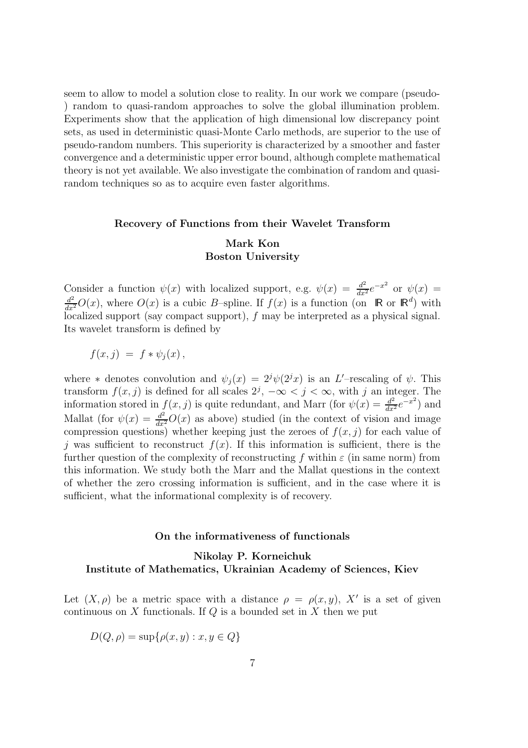seem to allow to model a solution close to reality. In our work we compare (pseudo- ) random to quasi-random approaches to solve the global illumination problem. Experiments show that the application of high dimensional low discrepancy point sets, as used in deterministic quasi-Monte Carlo methods, are superior to the use of pseudo-random numbers. This superiority is characterized by a smoother and faster convergence and a deterministic upper error bound, although complete mathematical theory is not yet available. We also investigate the combination of random and quasirandom techniques so as to acquire even faster algorithms.

#### Recovery of Functions from their Wavelet Transform

### Mark Kon Boston University

Consider a function  $\psi(x)$  with localized support, e.g.  $\psi(x) = \frac{d^2}{dx^2}e^{-x^2}$  or  $\psi(x) =$  $\frac{d^2}{dx^2}O(x)$ , where  $O(x)$  is a cubic B-spline. If  $f(x)$  is a function (on  $\mathbb{R}$  or  $\mathbb{R}^d$ ) with localized support (say compact support), f may be interpreted as a physical signal. Its wavelet transform is defined by

$$
f(x,j) = f * \psi_j(x),
$$

where  $*$  denotes convolution and  $\psi_j(x) = 2^j \psi(2^j x)$  is an L'-rescaling of  $\psi$ . This transform  $f(x, j)$  is defined for all scales  $2^j$ ,  $-\infty < j < \infty$ , with j an integer. The information stored in  $f(x, j)$  is quite redundant, and Marr (for  $\psi(x) = \frac{d^2}{dx^2}e^{-x^2}$ ) and Mallat (for  $\psi(x) = \frac{d^2}{dx^2}O(x)$  as above) studied (in the context of vision and image compression questions) whether keeping just the zeroes of  $f(x, j)$  for each value of j was sufficient to reconstruct  $f(x)$ . If this information is sufficient, there is the further question of the complexity of reconstructing f within  $\varepsilon$  (in same norm) from this information. We study both the Marr and the Mallat questions in the context of whether the zero crossing information is sufficient, and in the case where it is sufficient, what the informational complexity is of recovery.

#### On the informativeness of functionals

# Nikolay P. Korneichuk Institute of Mathematics, Ukrainian Academy of Sciences, Kiev

Let  $(X, \rho)$  be a metric space with a distance  $\rho = \rho(x, y)$ , X' is a set of given continuous on  $X$  functionals. If  $Q$  is a bounded set in  $X$  then we put

$$
D(Q, \rho) = \sup \{ \rho(x, y) : x, y \in Q \}
$$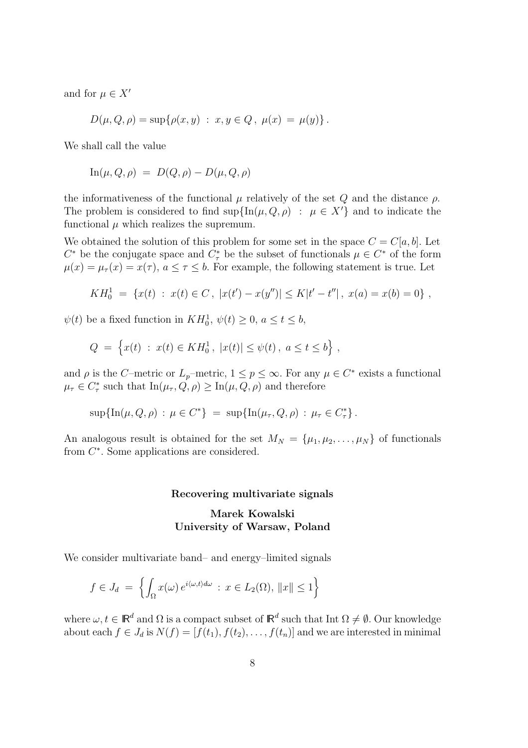and for  $\mu \in X'$ 

$$
D(\mu, Q, \rho) = \sup \{ \rho(x, y) : x, y \in Q, \ \mu(x) = \mu(y) \}.
$$

We shall call the value

$$
\mathrm{In}(\mu, Q, \rho) = D(Q, \rho) - D(\mu, Q, \rho)
$$

the informativeness of the functional  $\mu$  relatively of the set  $Q$  and the distance  $\rho$ . The problem is considered to find  $\sup\{\ln(\mu, Q, \rho) : \mu \in X'\}$  and to indicate the functional  $\mu$  which realizes the supremum.

We obtained the solution of this problem for some set in the space  $C = C[a, b]$ . Let  $C^*$  be the conjugate space and  $C^*$  be the subset of functionals  $\mu \in C^*$  of the form  $\mu(x) = \mu_{\tau}(x) = x(\tau), a \leq \tau \leq b$ . For example, the following statement is true. Let

$$
KH_0^1 = \{x(t) : x(t) \in C, |x(t') - x(y'')| \le K|t' - t''|, x(a) = x(b) = 0\},\,
$$

 $\psi(t)$  be a fixed function in  $KH_0^1$ ,  $\psi(t) \geq 0$ ,  $a \leq t \leq b$ ,

$$
Q = \left\{ x(t) : x(t) \in KH_0^1, \ |x(t)| \le \psi(t), \ a \le t \le b \right\},\
$$

and  $\rho$  is the C–metric or  $L_p$ –metric,  $1 \leq p \leq \infty$ . For any  $\mu \in C^*$  exists a functional  $\mu_{\tau} \in C_{\tau}^{*}$  such that  $\text{In}(\mu_{\tau}, Q, \rho) \geq \text{In}(\mu, Q, \rho)$  and therefore

$$
\sup\{\ln(\mu, Q, \rho) : \mu \in C^*\} = \sup\{\ln(\mu_\tau, Q, \rho) : \mu_\tau \in C^*_\tau\}.
$$

An analogous result is obtained for the set  $M_N = {\mu_1, \mu_2, ..., \mu_N}$  of functionals from  $C^*$ . Some applications are considered.

#### Recovering multivariate signals

# Marek Kowalski University of Warsaw, Poland

We consider multivariate band– and energy–limited signals

$$
f \in J_d = \left\{ \int_{\Omega} x(\omega) e^{i\langle \omega, t \rangle d\omega} : x \in L_2(\Omega), ||x|| \le 1 \right\}
$$

where  $\omega, t \in \mathbb{R}^d$  and  $\Omega$  is a compact subset of  $\mathbb{R}^d$  such that Int  $\Omega \neq \emptyset$ . Our knowledge about each  $f \in J_d$  is  $N(f) = [f(t_1), f(t_2), \ldots, f(t_n)]$  and we are interested in minimal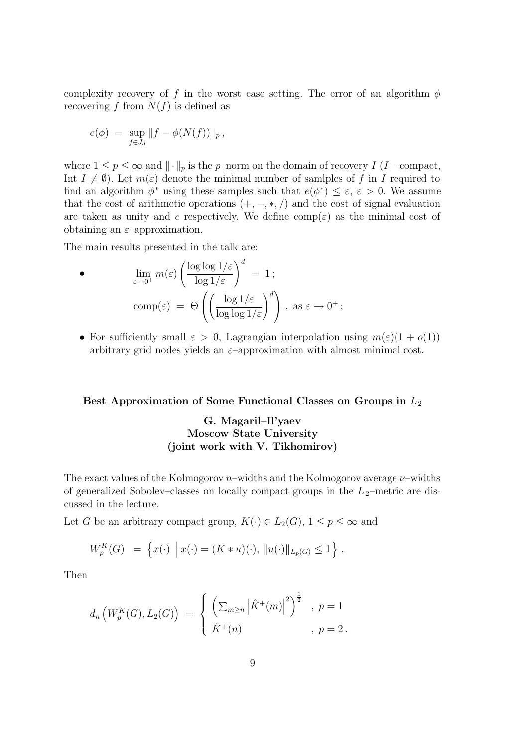complexity recovery of f in the worst case setting. The error of an algorithm  $\phi$ recovering f from  $N(f)$  is defined as

$$
e(\phi) \ = \ \sup_{f \in J_d} \|f - \phi(N(f))\|_p \, ,
$$

where  $1 \le p \le \infty$  and  $\|\cdot\|_p$  is the p–norm on the domain of recovery I (I – compact, Int  $I \neq \emptyset$ . Let  $m(\varepsilon)$  denote the minimal number of samlples of f in I required to find an algorithm  $\phi^*$  using these samples such that  $e(\phi^*) \leq \varepsilon$ ,  $\varepsilon > 0$ . We assume that the cost of arithmetic operations  $(+, -, *, /)$  and the cost of signal evaluation are taken as unity and c respectively. We define  $\text{comp}(\varepsilon)$  as the minimal cost of obtaining an  $\varepsilon$ -approximation.

The main results presented in the talk are:

$$
\begin{aligned}\n\bullet \qquad & \lim_{\varepsilon \to 0^+} m(\varepsilon) \left( \frac{\log \log 1/\varepsilon}{\log 1/\varepsilon} \right)^d = 1; \\
& \operatorname{comp}(\varepsilon) = \Theta \left( \left( \frac{\log 1/\varepsilon}{\log \log 1/\varepsilon} \right)^d \right), \text{ as } \varepsilon \to 0^+;\n\end{aligned}
$$

• For sufficiently small  $\varepsilon > 0$ , Lagrangian interpolation using  $m(\varepsilon)(1 + o(1))$ arbitrary grid nodes yields an  $\varepsilon$ -approximation with almost minimal cost.

# Best Approximation of Some Functional Classes on Groups in  $L_2$

# G. Magaril–Il'yaev Moscow State University (joint work with V. Tikhomirov)

The exact values of the Kolmogorov  $n$ –widths and the Kolmogorov average  $\nu$ –widths of generalized Sobolev–classes on locally compact groups in the  $L_2$ –metric are discussed in the lecture.

Let G be an arbitrary compact group,  $K(\cdot) \in L_2(G)$ ,  $1 \leq p \leq \infty$  and

$$
W_p^K(G) := \left\{ x(\cdot) \mid x(\cdot) = (K * u)(\cdot), \, \|u(\cdot)\|_{L_p(G)} \le 1 \right\}.
$$

Then

$$
d_n\left(W_p^K(G), L_2(G)\right) = \begin{cases} \left(\sum_{m\geq n} \left|\hat{K}^+(m)\right|^2\right)^{\frac{1}{2}}, & p = 1\\ \hat{K}^+(n) & , p = 2 \end{cases}
$$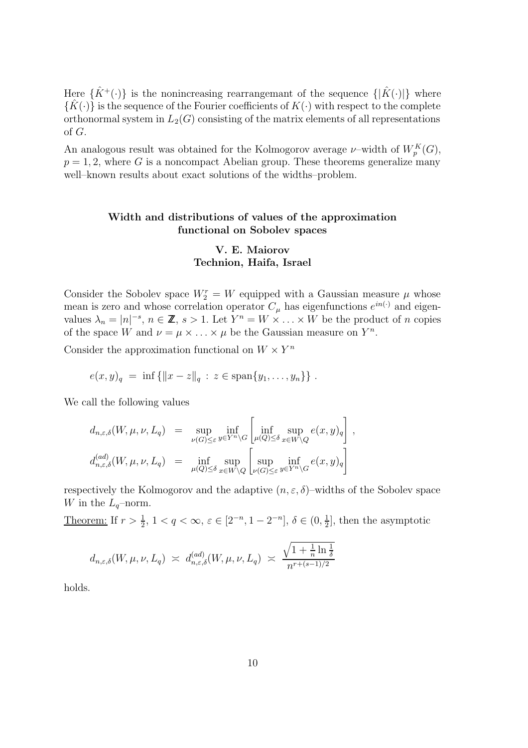Here  $\{\hat{K}^+(\cdot)\}\$ is the nonincreasing rearrangemant of the sequence  $\{|\hat{K}(\cdot)|\}\$  where  ${\{\hat{K}(\cdot)\}}$  is the sequence of the Fourier coefficients of  $K(\cdot)$  with respect to the complete orthonormal system in  $L_2(G)$  consisting of the matrix elements of all representations of G.

An analogous result was obtained for the Kolmogorov average  $\nu$ -width of  $W_p^K(G)$ ,  $p = 1, 2$ , where G is a noncompact Abelian group. These theorems generalize many well–known results about exact solutions of the widths–problem.

### Width and distributions of values of the approximation functional on Sobolev spaces

## V. E. Maiorov Technion, Haifa, Israel

Consider the Sobolev space  $W_2^r = W$  equipped with a Gaussian measure  $\mu$  whose mean is zero and whose correlation operator  $C_{\mu}$  has eigenfunctions  $e^{in(\cdot)}$  and eigenvalues  $\lambda_n = |n|^{-s}, n \in \mathbb{Z}, s > 1$ . Let  $Y^n = W \times \ldots \times W$  be the product of n copies of the space W and  $\nu = \mu \times \ldots \times \mu$  be the Gaussian measure on  $Y^n$ .

Consider the approximation functional on  $W \times Y^n$ 

$$
e(x,y)_q = \inf \{ ||x-z||_q : z \in \text{span}\{y_1,\ldots,y_n\} \} .
$$

We call the following values

$$
d_{n,\varepsilon,\delta}(W,\mu,\nu,L_q) = \sup_{\nu(G)\leq\varepsilon} \inf_{y\in Y^n\backslash G} \left[ \inf_{\mu(Q)\leq\delta} \sup_{x\in W\backslash Q} e(x,y)_q \right],
$$
  

$$
d_{n,\varepsilon,\delta}^{(ad)}(W,\mu,\nu,L_q) = \inf_{\mu(Q)\leq\delta} \sup_{x\in W\backslash Q} \left[ \sup_{\nu(G)\leq\varepsilon} \inf_{y\in Y^n\backslash G} e(x,y)_q \right].
$$

respectively the Kolmogorov and the adaptive  $(n, \varepsilon, \delta)$ –widths of the Sobolev space W in the  $L_q$ -norm.

Theorem: If  $r > \frac{1}{2}$ ,  $1 < q < \infty$ ,  $\varepsilon \in [2^{-n}, 1 - 2^{-n}]$ ,  $\delta \in (0, \frac{1}{2})$  $\frac{1}{2}$ , then the asymptotic

$$
d_{n,\varepsilon,\delta}(W,\mu,\nu,L_q) \;\asymp\; d_{n,\varepsilon,\delta}^{(ad)}(W,\mu,\nu,L_q) \;\asymp\; \frac{\sqrt{1+\frac{1}{n}\ln\frac{1}{\delta}}}{n^{r+(s-1)/2}}
$$

holds.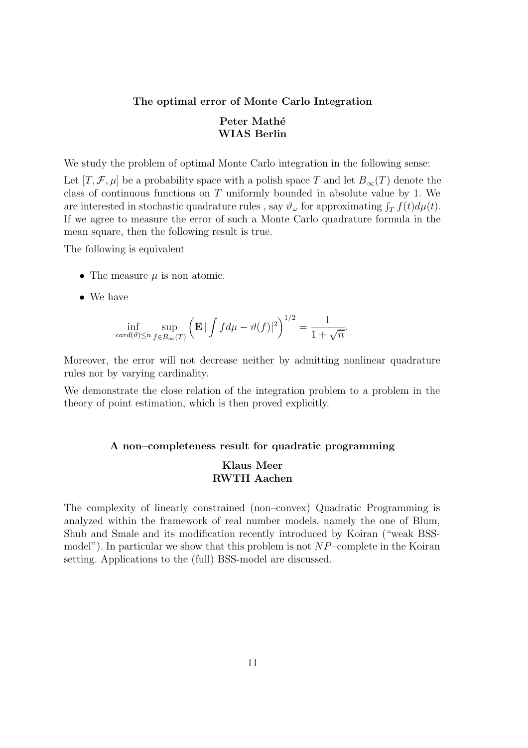# The optimal error of Monte Carlo Integration Peter Mathé WIAS Berlin

We study the problem of optimal Monte Carlo integration in the following sense:

Let  $[T, \mathcal{F}, \mu]$  be a probability space with a polish space T and let  $B_{\infty}(T)$  denote the class of continuous functions on  $T$  uniformly bounded in absolute value by 1. We are interested in stochastic quadrature rules , say  $\vartheta_{\omega}$  for approximating  $\int_T f(t) d\mu(t)$ . If we agree to measure the error of such a Monte Carlo quadrature formula in the mean square, then the following result is true.

The following is equivalent

- The measure  $\mu$  is non atomic.
- We have

$$
\inf_{\operatorname{card}(\vartheta) \le n} \sup_{f \in B_{\infty}(T)} \left( \mathbf{E} \, | \int f d\mu - \vartheta(f) |^2 \right)^{1/2} = \frac{1}{1 + \sqrt{n}}.
$$

Moreover, the error will not decrease neither by admitting nonlinear quadrature rules nor by varying cardinality.

We demonstrate the close relation of the integration problem to a problem in the theory of point estimation, which is then proved explicitly.

#### A non–completeness result for quadratic programming

### Klaus Meer RWTH Aachen

The complexity of linearly constrained (non–convex) Quadratic Programming is analyzed within the framework of real number models, namely the one of Blum, Shub and Smale and its modification recently introduced by Koiran ("weak BSSmodel"). In particular we show that this problem is not  $NP$ –complete in the Koiran setting. Applications to the (full) BSS-model are discussed.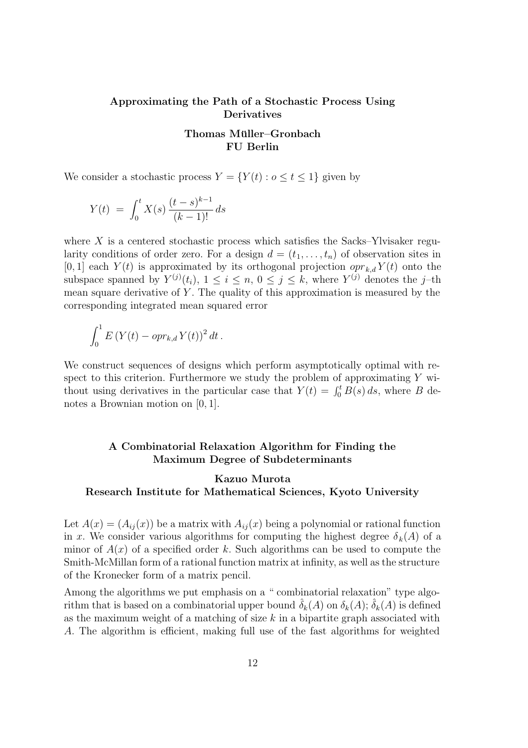### Approximating the Path of a Stochastic Process Using Derivatives

### Thomas Müller–Gronbach FU Berlin

We consider a stochastic process  $Y = \{Y(t) : 0 \le t \le 1\}$  given by

$$
Y(t) = \int_0^t X(s) \frac{(t-s)^{k-1}}{(k-1)!} ds
$$

where  $X$  is a centered stochastic process which satisfies the Sacks–Ylvisaker regularity conditions of order zero. For a design  $d = (t_1, \ldots, t_n)$  of observation sites in [0, 1] each  $Y(t)$  is approximated by its orthogonal projection  $\varphi r_{k,d} Y(t)$  onto the subspace spanned by  $Y^{(j)}(t_i)$ ,  $1 \leq i \leq n, 0 \leq j \leq k$ , where  $Y^{(j)}$  denotes the j-th mean square derivative of  $Y$ . The quality of this approximation is measured by the corresponding integrated mean squared error

$$
\int_0^1 E\left(Y(t) - \rho pr_{k,d} Y(t)\right)^2 dt.
$$

We construct sequences of designs which perform asymptotically optimal with respect to this criterion. Furthermore we study the problem of approximating  $Y$  without using derivatives in the particular case that  $Y(t) = \int_0^t B(s) ds$ , where B denotes a Brownian motion on [0, 1].

### A Combinatorial Relaxation Algorithm for Finding the Maximum Degree of Subdeterminants

# Kazuo Murota Research Institute for Mathematical Sciences, Kyoto University

Let  $A(x) = (A_{ij}(x))$  be a matrix with  $A_{ij}(x)$  being a polynomial or rational function in x. We consider various algorithms for computing the highest degree  $\delta_k(A)$  of a minor of  $A(x)$  of a specified order k. Such algorithms can be used to compute the Smith-McMillan form of a rational function matrix at infinity, as well as the structure of the Kronecker form of a matrix pencil.

Among the algorithms we put emphasis on a " combinatorial relaxation" type algorithm that is based on a combinatorial upper bound  $\delta_k(A)$  on  $\delta_k(A)$ ;  $\delta_k(A)$  is defined as the maximum weight of a matching of size  $k$  in a bipartite graph associated with A. The algorithm is efficient, making full use of the fast algorithms for weighted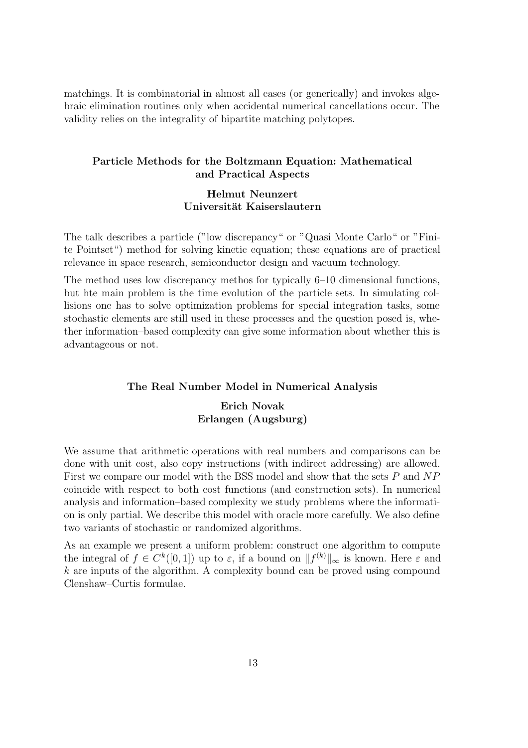matchings. It is combinatorial in almost all cases (or generically) and invokes algebraic elimination routines only when accidental numerical cancellations occur. The validity relies on the integrality of bipartite matching polytopes.

### Particle Methods for the Boltzmann Equation: Mathematical and Practical Aspects

### Helmut Neunzert Universität Kaiserslautern

The talk describes a particle ("low discrepancy" or "Quasi Monte Carlo" or "Finite Pointset") method for solving kinetic equation; these equations are of practical relevance in space research, semiconductor design and vacuum technology.

The method uses low discrepancy methos for typically 6–10 dimensional functions, but hte main problem is the time evolution of the particle sets. In simulating collisions one has to solve optimization problems for special integration tasks, some stochastic elements are still used in these processes and the question posed is, whether information–based complexity can give some information about whether this is advantageous or not.

#### The Real Number Model in Numerical Analysis

# Erich Novak Erlangen (Augsburg)

We assume that arithmetic operations with real numbers and comparisons can be done with unit cost, also copy instructions (with indirect addressing) are allowed. First we compare our model with the BSS model and show that the sets P and NP coincide with respect to both cost functions (and construction sets). In numerical analysis and information–based complexity we study problems where the information is only partial. We describe this model with oracle more carefully. We also define two variants of stochastic or randomized algorithms.

As an example we present a uniform problem: construct one algorithm to compute the integral of  $f \in C^k([0,1])$  up to  $\varepsilon$ , if a bound on  $||f^{(k)}||_{\infty}$  is known. Here  $\varepsilon$  and  $k$  are inputs of the algorithm. A complexity bound can be proved using compound Clenshaw–Curtis formulae.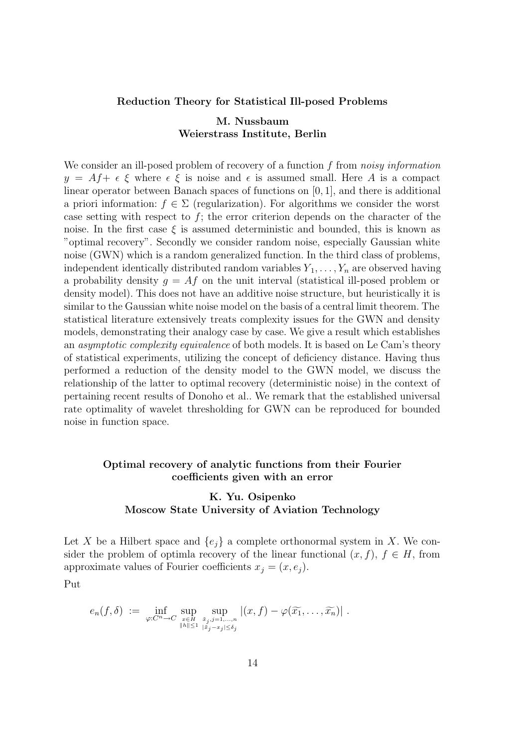#### Reduction Theory for Statistical Ill-posed Problems

# M. Nussbaum Weierstrass Institute, Berlin

We consider an ill-posed problem of recovery of a function f from noisy information  $y = Af + \epsilon \xi$  where  $\epsilon \xi$  is noise and  $\epsilon$  is assumed small. Here A is a compact linear operator between Banach spaces of functions on [0, 1], and there is additional a priori information:  $f \in \Sigma$  (regularization). For algorithms we consider the worst case setting with respect to  $f$ ; the error criterion depends on the character of the noise. In the first case  $\xi$  is assumed deterministic and bounded, this is known as "optimal recovery". Secondly we consider random noise, especially Gaussian white noise (GWN) which is a random generalized function. In the third class of problems, independent identically distributed random variables  $Y_1, \ldots, Y_n$  are observed having a probability density  $g = Af$  on the unit interval (statistical ill-posed problem or density model). This does not have an additive noise structure, but heuristically it is similar to the Gaussian white noise model on the basis of a central limit theorem. The statistical literature extensively treats complexity issues for the GWN and density models, demonstrating their analogy case by case. We give a result which establishes an asymptotic complexity equivalence of both models. It is based on Le Cam's theory of statistical experiments, utilizing the concept of deficiency distance. Having thus performed a reduction of the density model to the GWN model, we discuss the relationship of the latter to optimal recovery (deterministic noise) in the context of pertaining recent results of Donoho et al.. We remark that the established universal rate optimality of wavelet thresholding for GWN can be reproduced for bounded noise in function space.

# Optimal recovery of analytic functions from their Fourier coefficients given with an error

# K. Yu. Osipenko Moscow State University of Aviation Technology

Let X be a Hilbert space and  $\{e_i\}$  a complete orthonormal system in X. We consider the problem of optimla recovery of the linear functional  $(x, f)$ ,  $f \in H$ , from approximate values of Fourier coefficients  $x_i = (x, e_i)$ .

Put

$$
e_n(f,\delta) := \inf_{\varphi: C^n \to C} \sup_{\substack{x \in H \\ \|h\| \le 1}} \sup_{\substack{\tilde{x}_j, j=1,\dots,n \\ \|\tilde{x}_j - x_j\| \le \delta_j}} |(x,f) - \varphi(\widetilde{x_1},\dots,\widetilde{x_n})|.
$$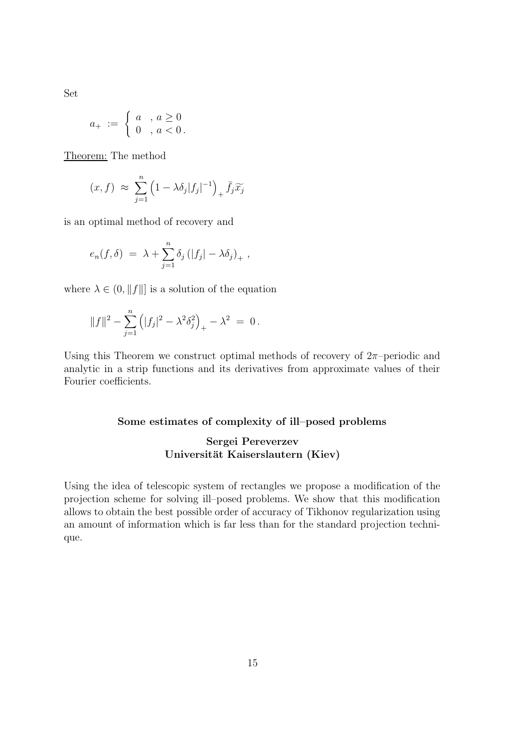Set

$$
a_{+} := \begin{cases} a & , \ a \geq 0 \\ 0 & , \ a < 0 \end{cases}.
$$

Theorem: The method

$$
(x, f) \approx \sum_{j=1}^{n} \left(1 - \lambda \delta_j |f_j|^{-1}\right)_+ \bar{f}_j \widetilde{x}_j
$$

is an optimal method of recovery and

$$
e_n(f,\delta) = \lambda + \sum_{j=1}^n \delta_j (|f_j| - \lambda \delta_j)_+,
$$

where  $\lambda \in (0, ||f||]$  is a solution of the equation

$$
||f||^2 - \sum_{j=1}^n (|f_j|^2 - \lambda^2 \delta_j^2)_+ - \lambda^2 = 0.
$$

Using this Theorem we construct optimal methods of recovery of  $2\pi$ -periodic and analytic in a strip functions and its derivatives from approximate values of their Fourier coefficients.

### Some estimates of complexity of ill–posed problems

# Sergei Pereverzev Universität Kaiserslautern (Kiev)

Using the idea of telescopic system of rectangles we propose a modification of the projection scheme for solving ill–posed problems. We show that this modification allows to obtain the best possible order of accuracy of Tikhonov regularization using an amount of information which is far less than for the standard projection technique.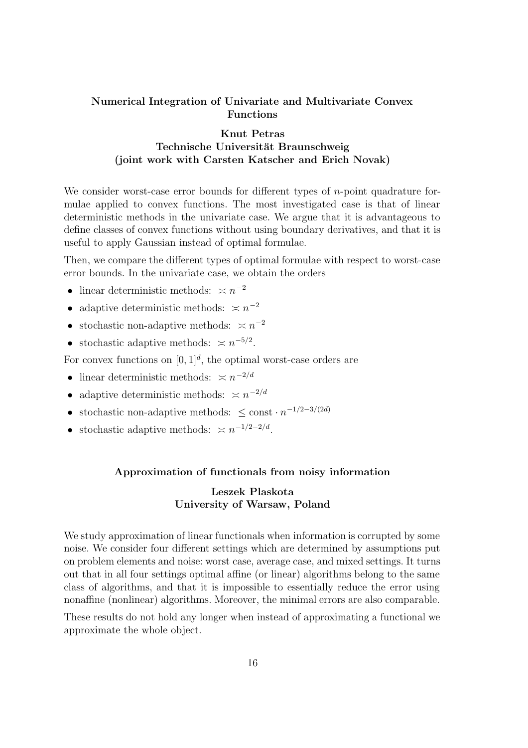# Numerical Integration of Univariate and Multivariate Convex Functions

# Knut Petras Technische Universität Braunschweig (joint work with Carsten Katscher and Erich Novak)

We consider worst-case error bounds for different types of *n*-point quadrature formulae applied to convex functions. The most investigated case is that of linear deterministic methods in the univariate case. We argue that it is advantageous to define classes of convex functions without using boundary derivatives, and that it is useful to apply Gaussian instead of optimal formulae.

Then, we compare the different types of optimal formulae with respect to worst-case error bounds. In the univariate case, we obtain the orders

- linear deterministic methods:  $\asymp n^{-2}$
- adaptive deterministic methods:  $\leq n^{-2}$
- stochastic non-adaptive methods:  $\asymp n^{-2}$
- stochastic adaptive methods:  $\asymp n^{-5/2}$ .

For convex functions on  $[0,1]^d$ , the optimal worst-case orders are

- linear deterministic methods:  $\leq n^{-2/d}$
- adaptive deterministic methods:  $\asymp n^{-2/d}$
- stochastic non-adaptive methods:  $\leq$  const  $\cdot n^{-1/2-3/(2d)}$
- stochastic adaptive methods:  $\asymp n^{-1/2-2/d}$ .

### Approximation of functionals from noisy information

# Leszek Plaskota University of Warsaw, Poland

We study approximation of linear functionals when information is corrupted by some noise. We consider four different settings which are determined by assumptions put on problem elements and noise: worst case, average case, and mixed settings. It turns out that in all four settings optimal affine (or linear) algorithms belong to the same class of algorithms, and that it is impossible to essentially reduce the error using nonaffine (nonlinear) algorithms. Moreover, the minimal errors are also comparable.

These results do not hold any longer when instead of approximating a functional we approximate the whole object.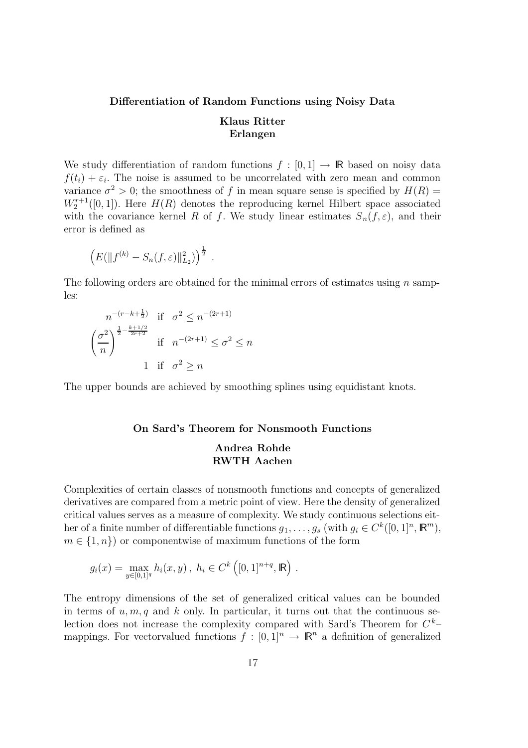# Differentiation of Random Functions using Noisy Data Klaus Ritter Erlangen

We study differentiation of random functions  $f : [0, 1] \rightarrow \mathbb{R}$  based on noisy data  $f(t_i) + \varepsilon_i$ . The noise is assumed to be uncorrelated with zero mean and common variance  $\sigma^2 > 0$ ; the smoothness of f in mean square sense is specified by  $H(R) =$  $W_2^{r+1}([0,1])$ . Here  $H(R)$  denotes the reproducing kernel Hilbert space associated with the covariance kernel R of f. We study linear estimates  $S_n(f, \varepsilon)$ , and their error is defined as

$$
\left(E(||f^{(k)} - S_n(f, \varepsilon)||_{L_2}^2)\right)^{\frac{1}{2}}.
$$

The following orders are obtained for the minimal errors of estimates using  $n$  samples:

$$
n^{-(r-k+\frac{1}{2})} \text{ if } \sigma^2 \le n^{-(2r+1)}
$$

$$
\left(\frac{\sigma^2}{n}\right)^{\frac{1}{2} - \frac{k+1/2}{2r+2}} \text{ if } n^{-(2r+1)} \le \sigma^2 \le n
$$

$$
1 \text{ if } \sigma^2 \ge n
$$

The upper bounds are achieved by smoothing splines using equidistant knots.

#### On Sard's Theorem for Nonsmooth Functions

### Andrea Rohde RWTH Aachen

Complexities of certain classes of nonsmooth functions and concepts of generalized derivatives are compared from a metric point of view. Here the density of generalized critical values serves as a measure of complexity. We study continuous selections either of a finite number of differentiable functions  $g_1, \ldots, g_s$  (with  $g_i \in C^k([0, 1]^n, \mathbb{R}^m)$ ,  $m \in \{1, n\}$  or componentwise of maximum functions of the form

$$
g_i(x) = \max_{y \in [0,1]^q} h_i(x,y), \ h_i \in C^k([0,1]^{n+q}, \mathbb{R})
$$
.

The entropy dimensions of the set of generalized critical values can be bounded in terms of  $u, m, q$  and k only. In particular, it turns out that the continuous selection does not increase the complexity compared with Sard's Theorem for  $C^k$ mappings. For vectorvalued functions  $f : [0,1]^n \to \mathbb{R}^n$  a definition of generalized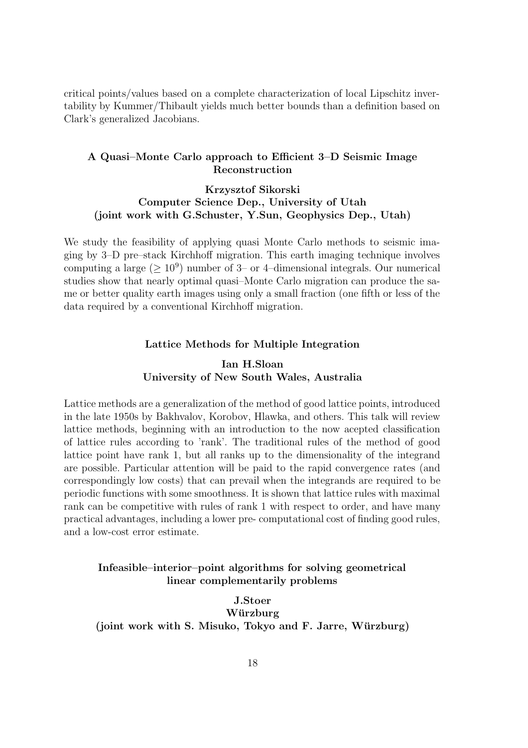critical points/values based on a complete characterization of local Lipschitz invertability by Kummer/Thibault yields much better bounds than a definition based on Clark's generalized Jacobians.

### A Quasi–Monte Carlo approach to Efficient 3–D Seismic Image Reconstruction

# Krzysztof Sikorski Computer Science Dep., University of Utah (joint work with G.Schuster, Y.Sun, Geophysics Dep., Utah)

We study the feasibility of applying quasi Monte Carlo methods to seismic imaging by 3–D pre–stack Kirchhoff migration. This earth imaging technique involves computing a large  $(\geq 10^9)$  number of 3– or 4–dimensional integrals. Our numerical studies show that nearly optimal quasi–Monte Carlo migration can produce the same or better quality earth images using only a small fraction (one fifth or less of the data required by a conventional Kirchhoff migration.

### Lattice Methods for Multiple Integration

# Ian H.Sloan University of New South Wales, Australia

Lattice methods are a generalization of the method of good lattice points, introduced in the late 1950s by Bakhvalov, Korobov, Hlawka, and others. This talk will review lattice methods, beginning with an introduction to the now acepted classification of lattice rules according to 'rank'. The traditional rules of the method of good lattice point have rank 1, but all ranks up to the dimensionality of the integrand are possible. Particular attention will be paid to the rapid convergence rates (and correspondingly low costs) that can prevail when the integrands are required to be periodic functions with some smoothness. It is shown that lattice rules with maximal rank can be competitive with rules of rank 1 with respect to order, and have many practical advantages, including a lower pre- computational cost of finding good rules, and a low-cost error estimate.

# Infeasible–interior–point algorithms for solving geometrical linear complementarily problems

J.Stoer Würzburg (joint work with S. Misuko, Tokyo and F. Jarre, Würzburg)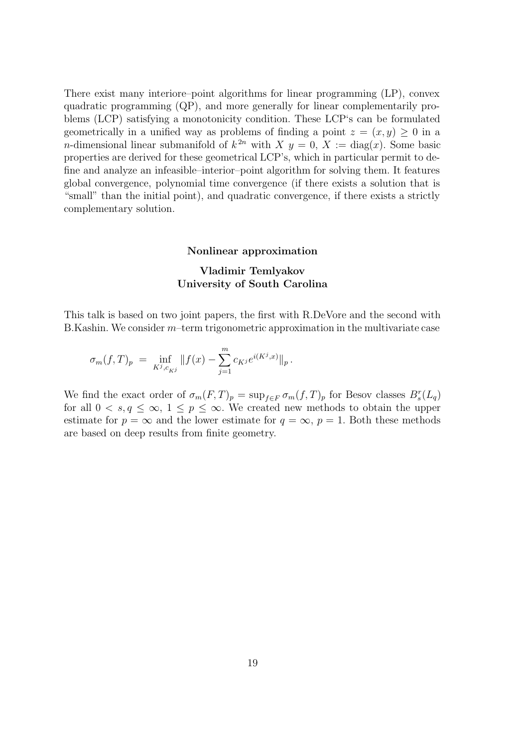There exist many interiore–point algorithms for linear programming (LP), convex quadratic programming (QP), and more generally for linear complementarily problems (LCP) satisfying a monotonicity condition. These LCP's can be formulated geometrically in a unified way as problems of finding a point  $z = (x, y) \geq 0$  in a *n*-dimensional linear submanifold of  $k^{2n}$  with  $X$   $y = 0$ ,  $X := diag(x)$ . Some basic properties are derived for these geometrical LCP's, which in particular permit to define and analyze an infeasible–interior–point algorithm for solving them. It features global convergence, polynomial time convergence (if there exists a solution that is "small" than the initial point), and quadratic convergence, if there exists a strictly complementary solution.

#### Nonlinear approximation

## Vladimir Temlyakov University of South Carolina

This talk is based on two joint papers, the first with R.DeVore and the second with B.Kashin. We consider m–term trigonometric approximation in the multivariate case

$$
\sigma_m(f,T)_p = \inf_{K^j, c_{K^j}} ||f(x) - \sum_{j=1}^m c_{K^j} e^{i(K^j,x)}||_p.
$$

We find the exact order of  $\sigma_m(F,T)_p = \sup_{f \in F} \sigma_m(f,T)_p$  for Besov classes  $B_s^r(L_q)$ for all  $0 < s, q \leq \infty$ ,  $1 \leq p \leq \infty$ . We created new methods to obtain the upper estimate for  $p = \infty$  and the lower estimate for  $q = \infty$ ,  $p = 1$ . Both these methods are based on deep results from finite geometry.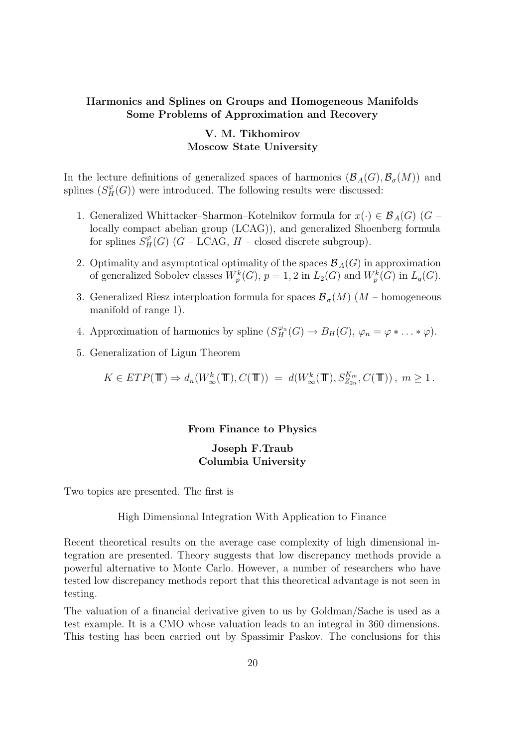### Harmonics and Splines on Groups and Homogeneous Manifolds Some Problems of Approximation and Recovery

# V. M. Tikhomirov Moscow State University

In the lecture definitions of generalized spaces of harmonics  $(\mathcal{B}_{A}(G), \mathcal{B}_{\sigma}(M))$  and splines  $(S_H^{\varphi}(G))$  were introduced. The following results were discussed:

- 1. Generalized Whittacker–Sharmon–Kotelnikov formula for  $x(\cdot) \in \mathcal{B}_{A}(G)$  (G locally compact abelian group (LCAG)), and generalized Shoenberg formula for splines  $S_H^{\varphi}(G)$  (*G* – LCAG, *H* – closed discrete subgroup).
- 2. Optimality and asymptotical optimality of the spaces  $\mathcal{B}_{A}(G)$  in approximation of generalized Sobolev classes  $W_p^k(G)$ ,  $p = 1, 2$  in  $L_2(G)$  and  $W_p^k(G)$  in  $L_q(G)$ .
- 3. Generalized Riesz interploation formula for spaces  $\mathcal{B}_{\sigma}(M)$  (M homogeneous manifold of range 1).
- 4. Approximation of harmonics by spline  $(S_H^{\varphi_n}(G) \to B_H(G), \varphi_n = \varphi * \dots * \varphi)$ .
- 5. Generalization of Ligun Theorem

$$
K \in ETP(\mathbb{T}) \Rightarrow d_n(W^k_{\infty}(\mathbb{T}), C(\mathbb{T})) = d(W^k_{\infty}(\mathbb{T}), S^{K_m}_{Z_{2n}}, C(\mathbb{T})), m \ge 1.
$$

#### From Finance to Physics

### Joseph F.Traub Columbia University

Two topics are presented. The first is

#### High Dimensional Integration With Application to Finance

Recent theoretical results on the average case complexity of high dimensional integration are presented. Theory suggests that low discrepancy methods provide a powerful alternative to Monte Carlo. However, a number of researchers who have tested low discrepancy methods report that this theoretical advantage is not seen in testing.

The valuation of a financial derivative given to us by Goldman/Sache is used as a test example. It is a CMO whose valuation leads to an integral in 360 dimensions. This testing has been carried out by Spassimir Paskov. The conclusions for this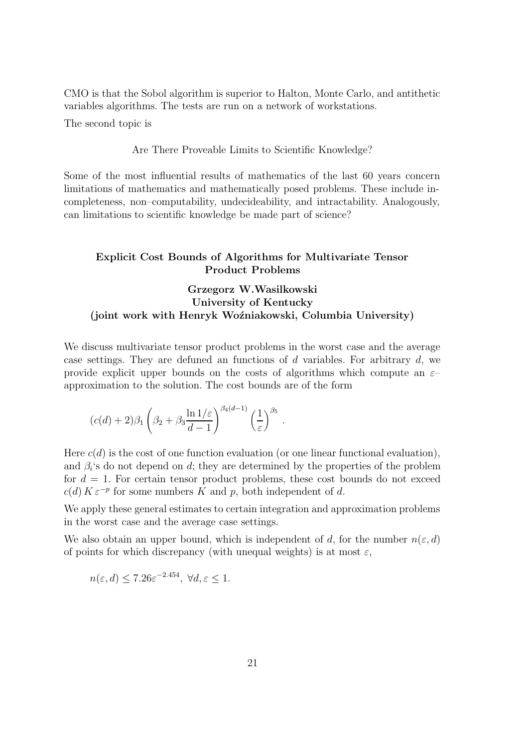CMO is that the Sobol algorithm is superior to Halton, Monte Carlo, and antithetic variables algorithms. The tests are run on a network of workstations.

The second topic is

#### Are There Proveable Limits to Scientific Knowledge?

Some of the most influential results of mathematics of the last 60 years concern limitations of mathematics and mathematically posed problems. These include incompleteness, non–computability, undecideability, and intractability. Analogously, can limitations to scientific knowledge be made part of science?

# Explicit Cost Bounds of Algorithms for Multivariate Tensor Product Problems

# Grzegorz W.Wasilkowski University of Kentucky (joint work with Henryk Woźniakowski, Columbia University)

We discuss multivariate tensor product problems in the worst case and the average case settings. They are defuned an functions of d variables. For arbitrary d, we provide explicit upper bounds on the costs of algorithms which compute an  $\varepsilon$ approximation to the solution. The cost bounds are of the form

$$
(c(d) + 2)\beta_1 \left(\beta_2 + \beta_3 \frac{\ln 1/\varepsilon}{d-1}\right)^{\beta_4(d-1)} \left(\frac{1}{\varepsilon}\right)^{\beta_5}
$$

Here  $c(d)$  is the cost of one function evaluation (or one linear functional evaluation), and  $\beta_i$ 's do not depend on d; they are determined by the properties of the problem for  $d = 1$ . For certain tensor product problems, these cost bounds do not exceed  $c(d) K \varepsilon^{-p}$  for some numbers K and p, both independent of d.

.

We apply these general estimates to certain integration and approximation problems in the worst case and the average case settings.

We also obtain an upper bound, which is independent of d, for the number  $n(\varepsilon, d)$ of points for which discrepancy (with unequal weights) is at most  $\varepsilon$ ,

$$
n(\varepsilon, d) \le 7.26\varepsilon^{-2.454}, \ \forall d, \varepsilon \le 1.
$$

−2.454